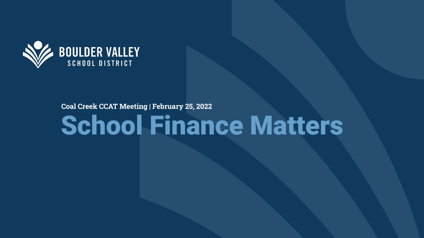

#### **Coal Creek CCAT Meeting | February 25, 2022**

# School Finance Matters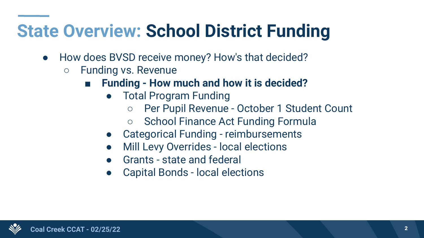#### **State Overview: School District Funding**

- How does BVSD receive money? How's that decided?
	- Funding vs. Revenue
		- **Funding How much and how it is decided?** 
			- **Total Program Funding** 
				- Per Pupil Revenue October 1 Student Count
				- School Finance Act Funding Formula
			- Categorical Funding reimbursements
			- **Mill Levy Overrides local elections**
			- Grants state and federal
			- Capital Bonds local elections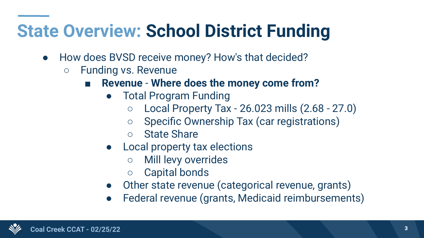#### **State Overview: School District Funding**

- How does BVSD receive money? How's that decided?
	- Funding vs. Revenue
		- **Revenue Where does the money come from?** 
			- Total Program Funding
				- $\circ$  Local Property Tax 26.023 mills  $(2.68 27.0)$
				- Specific Ownership Tax (car registrations)
				- State Share
			- Local property tax elections
				- Mill levy overrides
				- Capital bonds
			- Other state revenue (categorical revenue, grants)
			- Federal revenue (grants, Medicaid reimbursements)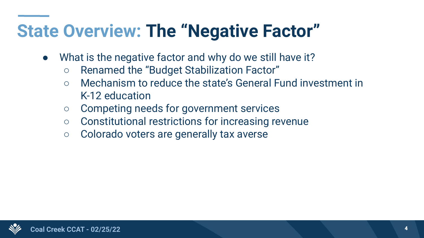#### **State Overview: The "Negative Factor"**

- What is the negative factor and why do we still have it?
	- Renamed the "Budget Stabilization Factor"
	- Mechanism to reduce the state's General Fund investment in K-12 education
	- Competing needs for government services
	- Constitutional restrictions for increasing revenue
	- Colorado voters are generally tax averse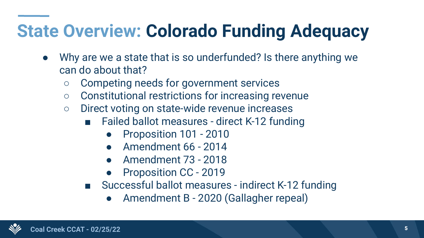## **State Overview: Colorado Funding Adequacy**

- Why are we a state that is so underfunded? Is there anything we can do about that?
	- Competing needs for government services
	- Constitutional restrictions for increasing revenue
	- Direct voting on state-wide revenue increases
		- Failed ballot measures direct K-12 funding
			- Proposition 101 2010
			- Amendment 66 2014
			- Amendment 73 2018
			- Proposition CC 2019
		- Successful ballot measures indirect K-12 funding
			- Amendment B 2020 (Gallagher repeal)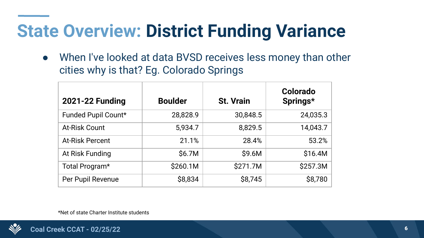#### **State Overview: District Funding Variance**

• When I've looked at data BVSD receives less money than other cities why is that? Eg. Colorado Springs

| <b>2021-22 Funding</b> | <b>Boulder</b> | <b>St. Vrain</b> | Colorado<br>Springs* |
|------------------------|----------------|------------------|----------------------|
| Funded Pupil Count*    | 28,828.9       | 30,848.5         | 24,035.3             |
| <b>At-Risk Count</b>   | 5,934.7        | 8,829.5          | 14,043.7             |
| <b>At-Risk Percent</b> | 21.1%          | 28.4%            | 53.2%                |
| At Risk Funding        | \$6.7M         | \$9.6M           | \$16.4M              |
| Total Program*         | \$260.1M       | \$271.7M         | \$257.3M             |
| Per Pupil Revenue      | \$8,834        | \$8,745          | \$8,780              |

\*Net of state Charter Institute students

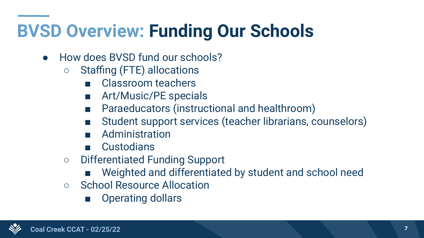## **BVSD Overview: Funding Our Schools**

- How does BVSD fund our schools?
	- Staffing (FTE) allocations
		- Classroom teachers
		- Art/Music/PE specials
		- Paraeducators (instructional and healthroom)
		- Student support services (teacher librarians, counselors)
		- Administration
		- Custodians
	- Differentiated Funding Support
		- Weighted and differentiated by student and school need
	- School Resource Allocation
		- Operating dollars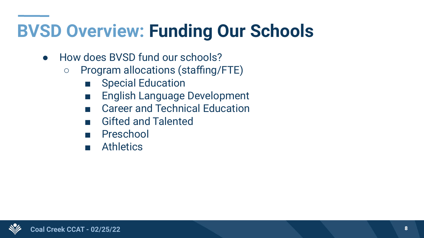#### **BVSD Overview: Funding Our Schools**

- How does BVSD fund our schools?
	- Program allocations (staffing/FTE)
		- Special Education
		- English Language Development
		- Career and Technical Education
		- Gifted and Talented
		- Preschool
		- Athletics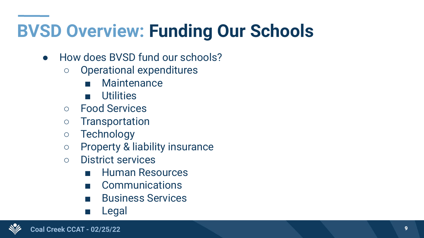## **BVSD Overview: Funding Our Schools**

- How does BVSD fund our schools?
	- Operational expenditures
		- Maintenance
		- Utilities
	- Food Services
	- Transportation
	- Technology
	- Property & liability insurance
	- District services
		- Human Resources
		- Communications
		- Business Services
		- Legal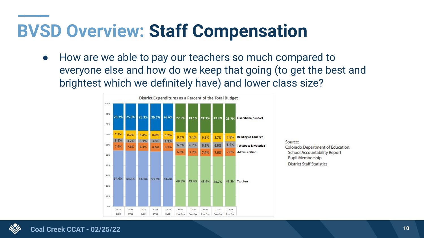#### **BVSD Overview: Staff Compensation**

● How are we able to pay our teachers so much compared to everyone else and how do we keep that going (to get the best and brightest which we definitely have) and lower class size?

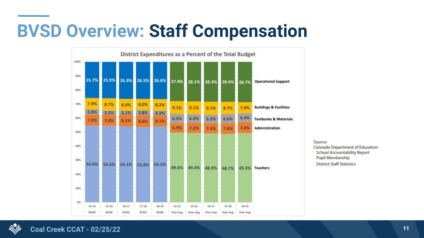#### **BVSD Overview: Staff Compensation**



Source: Colorado Department of Education: **School Accountability Report** Pupil Membership **District Staff Statistics** 

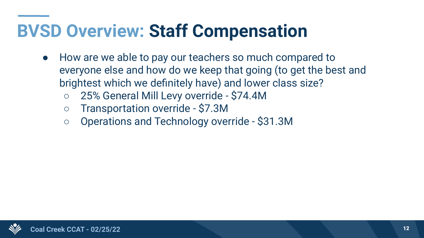#### **BVSD Overview: Staff Compensation**

- How are we able to pay our teachers so much compared to everyone else and how do we keep that going (to get the best and brightest which we definitely have) and lower class size?
	- 25% General Mill Levy override \$74.4M
	- Transportation override \$7.3M
	- Operations and Technology override \$31.3M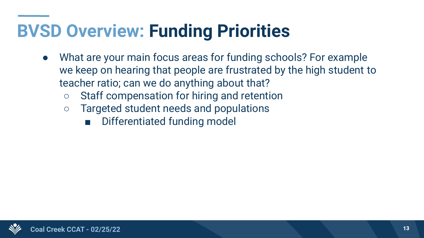#### **BVSD Overview: Funding Priorities**

- What are your main focus areas for funding schools? For example we keep on hearing that people are frustrated by the high student to teacher ratio; can we do anything about that?
	- Staff compensation for hiring and retention
	- Targeted student needs and populations
		- Differentiated funding model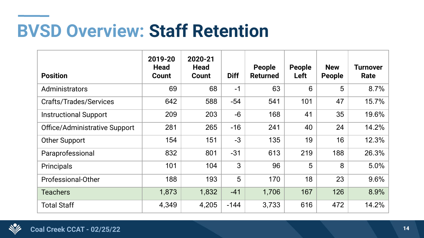#### **BVSD Overview: Staff Retention**

| <b>Position</b>               | 2019-20<br><b>Head</b><br>Count | 2020-21<br><b>Head</b><br><b>Count</b> | <b>Diff</b> | People<br><b>Returned</b> | <b>People</b><br>Left | <b>New</b><br><b>People</b> | <b>Turnover</b><br>Rate |
|-------------------------------|---------------------------------|----------------------------------------|-------------|---------------------------|-----------------------|-----------------------------|-------------------------|
| Administrators                | 69                              | 68                                     | $-1$        | 63                        | 6                     | 5                           | 8.7%                    |
| Crafts/Trades/Services        | 642                             | 588                                    | $-54$       | 541                       | 101                   | 47                          | 15.7%                   |
| <b>Instructional Support</b>  | 209                             | 203                                    | $-6$        | 168                       | 41                    | 35                          | 19.6%                   |
| Office/Administrative Support | 281                             | 265                                    | $-16$       | 241                       | 40                    | 24                          | 14.2%                   |
| <b>Other Support</b>          | 154                             | 151                                    | $-3$        | 135                       | 19                    | 16                          | 12.3%                   |
| Paraprofessional              | 832                             | 801                                    | $-31$       | 613                       | 219                   | 188                         | 26.3%                   |
| Principals                    | 101                             | 104                                    | 3           | 96                        | 5                     | 8                           | 5.0%                    |
| Professional-Other            | 188                             | 193                                    | 5           | 170                       | 18                    | 23                          | 9.6%                    |
| <b>Teachers</b>               | 1,873                           | 1,832                                  | $-41$       | 1,706                     | 167                   | 126                         | 8.9%                    |
| <b>Total Staff</b>            | 4,349                           | 4,205                                  | $-144$      | 3,733                     | 616                   | 472                         | 14.2%                   |

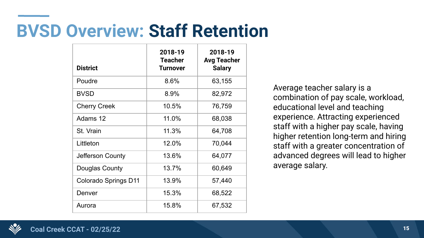#### **BVSD Overview: Staff Retention**

| <b>District</b>             | 2018-19<br><b>Teacher</b><br><b>Turnover</b> | 2018-19<br><b>Avg Teacher</b><br><b>Salary</b> |
|-----------------------------|----------------------------------------------|------------------------------------------------|
|                             |                                              |                                                |
| Poudre                      | 8.6%                                         | 63,155                                         |
| <b>BVSD</b>                 | 8.9%                                         | 82,972                                         |
| <b>Cherry Creek</b>         | 10.5%                                        | 76,759                                         |
| Adams 12                    | 11.0%                                        | 68,038                                         |
| St. Vrain                   | 11.3%                                        | 64,708                                         |
| Littleton                   | 12.0%                                        | 70,044                                         |
| Jefferson County            | 13.6%                                        | 64,077                                         |
| Douglas County              | 13.7%                                        | 60,649                                         |
| <b>Colorado Springs D11</b> | 13.9%                                        | 57,440                                         |
| Denver                      | 15.3%                                        | 68,522                                         |
| Aurora                      | 15.8%                                        | 67,532                                         |

Average teacher salary is a combination of pay scale, workload, educational level and teaching experience. Attracting experienced staff with a higher pay scale, having higher retention long-term and hiring staff with a greater concentration of advanced degrees will lead to higher average salary.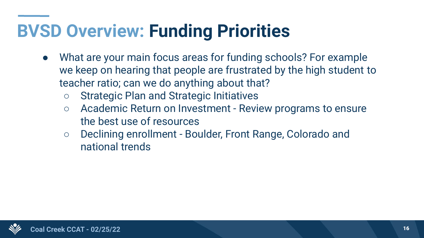#### **BVSD Overview: Funding Priorities**

- What are your main focus areas for funding schools? For example we keep on hearing that people are frustrated by the high student to teacher ratio; can we do anything about that?
	- Strategic Plan and Strategic Initiatives
	- Academic Return on Investment Review programs to ensure the best use of resources
	- Declining enrollment Boulder, Front Range, Colorado and national trends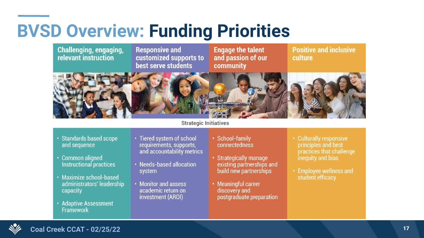#### **BVSD Overview: Funding Priorities**



**Strategic Initiatives** 

- · Standards based scope and sequence
- Common aligned Instructional practices
- Maximize school-based administrators' leadership capacity
- Adaptive Assessment **Framework**
- Tiered system of school requirements, supports, and accountability metrics
- Needs-based allocation system
- Monitor and assess academic return on investment (AROI)
- · School-family connectedness
- · Strategically manage existing partnerships and build new partnerships
- Meaningful career discovery and postgraduate preparation
- Culturally responsive principles and best practices that challenge inequity and bias
- Employee wellness and student efficacy

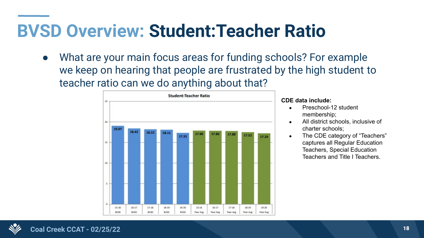#### **BVSD Overview: Student:Teacher Ratio**

● What are your main focus areas for funding schools? For example we keep on hearing that people are frustrated by the high student to teacher ratio can we do anything about that?



#### **CDE data include:**

- Preschool-12 student membership;
- All district schools, inclusive of charter schools;
- The CDE category of "Teachers" captures all Regular Education Teachers, Special Education Teachers and Title I Teachers.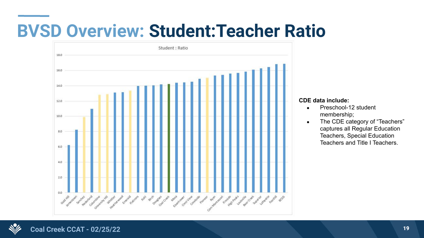#### **BVSD Overview: Student:Teacher Ratio**



#### **CDE data include:**

- Preschool-12 student membership;
- The CDE category of "Teachers" captures all Regular Education Teachers, Special Education Teachers and Title I Teachers.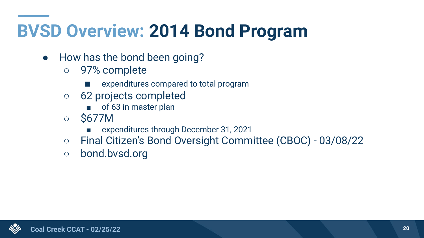#### **BVSD Overview: 2014 Bond Program**

- How has the bond been going?
	- 97% complete
		- expenditures compared to total program
	- 62 projects completed
		- of 63 in master plan
	- \$677M
		- expenditures through December 31, 2021
	- Final Citizen's Bond Oversight Committee (CBOC) 03/08/22
	- bond.bvsd.org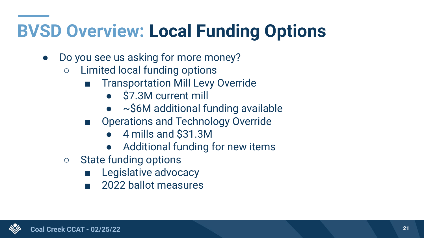## **BVSD Overview: Local Funding Options**

- Do you see us asking for more money?
	- Limited local funding options
		- Transportation Mill Levy Override
			- \$7.3M current mill
			- $\bullet$  ~\$6M additional funding available
		- Operations and Technology Override
			- 4 mills and \$31.3M
			- Additional funding for new items
	- State funding options
		- Legislative advocacy
		- 2022 ballot measures